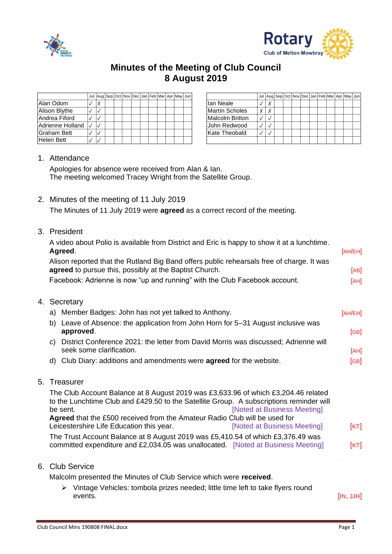



## **Minutes of the Meeting of Club Council 8 August 2019**

|                    | Jul Aug Sep Oct Nov Dec Jan Feb Mar Apr May Jun |  |  |  |  |  |                        | Jul Au |
|--------------------|-------------------------------------------------|--|--|--|--|--|------------------------|--------|
| Alan Odom          |                                                 |  |  |  |  |  | llan Neale             |        |
| Alison Blythe      |                                                 |  |  |  |  |  | <b>Martín Scholes</b>  | X      |
| Andrea Fiford      |                                                 |  |  |  |  |  | <b>Malcolm Britton</b> |        |
| Adrienne Holland V |                                                 |  |  |  |  |  | John Redwood           |        |
| Graham Bett        |                                                 |  |  |  |  |  | Kate Theobald          |        |
| <b>Helen Bett</b>  |                                                 |  |  |  |  |  |                        |        |

|     | Jul Aug Sep Oct Nov Dec Jan Feb Mar Apr May Jun |  |  |  |  |  |                        |  |  | Jul Aug Sep Oct Nov Dec Jan Feb Mar Apr May Jun |  |  |  |
|-----|-------------------------------------------------|--|--|--|--|--|------------------------|--|--|-------------------------------------------------|--|--|--|
|     |                                                 |  |  |  |  |  | Ian Neale              |  |  |                                                 |  |  |  |
|     |                                                 |  |  |  |  |  | <b>Martín Scholes</b>  |  |  |                                                 |  |  |  |
| ノー  |                                                 |  |  |  |  |  | <b>Malcolm Britton</b> |  |  |                                                 |  |  |  |
| ✓∣◡ |                                                 |  |  |  |  |  | John Redwood           |  |  |                                                 |  |  |  |
|     |                                                 |  |  |  |  |  | Kate Theobald          |  |  |                                                 |  |  |  |
|     |                                                 |  |  |  |  |  |                        |  |  |                                                 |  |  |  |

## 1. Attendance

Apologies for absence were received from Alan & Ian. The meeting welcomed Tracey Wright from the Satellite Group.

2. Minutes of the meeting of 11 July 2019

The Minutes of 11 July 2019 were **agreed** as a correct record of the meeting.

3. President

|    | A video about Polio is available from District and Eric is happy to show it at a lunchtime.<br>Agreed.                                              | [AH/EH] |
|----|-----------------------------------------------------------------------------------------------------------------------------------------------------|---------|
|    | Alison reported that the Rutland Big Band offers public rehearsals free of charge. It was<br>agreed to pursue this, possibly at the Baptist Church. | [AB]    |
|    | Facebook: Adrienne is now "up and running" with the Club Facebook account.                                                                          | [AH]    |
| 4. | Secretary                                                                                                                                           |         |
|    | a) Member Badges: John has not yet talked to Anthony.                                                                                               | [AH/EH] |
|    | b) Leave of Absence: the application from John Horn for 5-31 August inclusive was<br>approved.                                                      | [GB]    |
|    | District Conference 2021; the letter from David Morris was discussed: Adrienne will<br>C)                                                           |         |

- onference 2021: the letter from David Morris was discussed; seek some clarification. [AH]
- d) Club Diary: additions and amendments were **agreed** for the website. [GB]
- 5. Treasurer

The Club Account Balance at 8 August 2019 was £3,633.96 of which £3,204.46 related to the Lunchtime Club and £429.50 to the Satellite Group. A subscriptions reminder will be sent. **Example 20 be sent. EXAMPLE 20 INDEX** [Noted at Business Meeting] **Agreed** that the £500 received from the Amateur Radio Club will be used for Leicestershire Life Education this year. [Noted at Business Meeting] [KT] The Trust Account Balance at 8 August 2019 was £5,410.54 of which £3,376.49 was committed expenditure and £2,034.05 was unallocated. [Noted at Business Meeting] [KT]

## 6. Club Service

Malcolm presented the Minutes of Club Service which were **received**.

➢ Vintage Vehicles: tombola prizes needed; little time left to take flyers round events. [IN, JJH]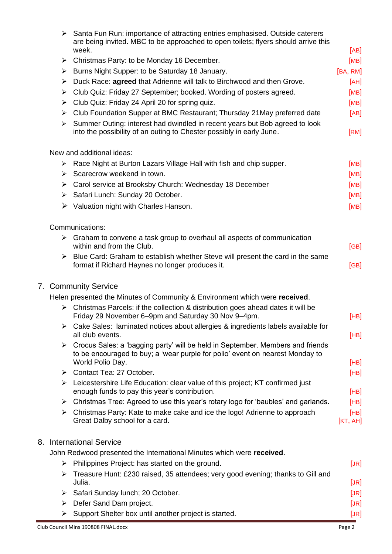|   | Club Council Mins 190808 FINAL.docx                                                                                                                                                 | Page 2                                      |
|---|-------------------------------------------------------------------------------------------------------------------------------------------------------------------------------------|---------------------------------------------|
| ➤ | Support Shelter box until another project is started.                                                                                                                               | [JR]                                        |
|   | $\triangleright$ Defer Sand Dam project.                                                                                                                                            | [JR]                                        |
| ➤ | Safari Sunday lunch; 20 October.                                                                                                                                                    | [JR]                                        |
| ≻ | Treasure Hunt: £230 raised, 35 attendees; very good evening; thanks to Gill and<br>Julia.                                                                                           | [JR]                                        |
| ➤ | Philippines Project: has started on the ground.                                                                                                                                     | [JR]                                        |
|   | John Redwood presented the International Minutes which were received.                                                                                                               |                                             |
|   | 8. International Service                                                                                                                                                            |                                             |
|   | $\triangleright$ Christmas Party: Kate to make cake and ice the logo! Adrienne to approach<br>Great Dalby school for a card.                                                        | [HB]<br>$\left[\text{KT}, \text{AH}\right]$ |
| ➤ | Christmas Tree: Agreed to use this year's rotary logo for 'baubles' and garlands.                                                                                                   | [HB]                                        |
| ➤ | Leicestershire Life Education: clear value of this project; KT confirmed just<br>enough funds to pay this year's contribution.                                                      | [HB]                                        |
| ➤ | Contact Tea: 27 October.                                                                                                                                                            | [HB]                                        |
| ➤ | Crocus Sales: a 'bagging party' will be held in September. Members and friends<br>to be encouraged to buy; a 'wear purple for polio' event on nearest Monday to<br>World Polio Day. | [HB]                                        |
|   | Cake Sales: laminated notices about allergies & ingredients labels available for<br>all club events.                                                                                | [HB]                                        |
|   | $\triangleright$ Christmas Parcels: if the collection & distribution goes ahead dates it will be<br>Friday 29 November 6-9pm and Saturday 30 Nov 9-4pm.                             | [HB]                                        |
|   | Helen presented the Minutes of Community & Environment which were received.                                                                                                         |                                             |
|   | 7. Community Service                                                                                                                                                                |                                             |
| ➤ | Blue Card: Graham to establish whether Steve will present the card in the same<br>format if Richard Haynes no longer produces it.                                                   | [GB]                                        |
|   | $\triangleright$ Graham to convene a task group to overhaul all aspects of communication<br>within and from the Club.                                                               | [GB]                                        |
|   | Communications:                                                                                                                                                                     |                                             |
|   |                                                                                                                                                                                     |                                             |
|   | $\triangleright$ Valuation night with Charles Hanson.                                                                                                                               | [MB]                                        |
|   | > Safari Lunch: Sunday 20 October.                                                                                                                                                  | [MB]                                        |
|   | > Carol service at Brooksby Church: Wednesday 18 December                                                                                                                           | [MB]                                        |
|   | $\triangleright$ Scarecrow weekend in town.                                                                                                                                         | [MB]                                        |
| ➤ | New and additional ideas:<br>Race Night at Burton Lazars Village Hall with fish and chip supper.                                                                                    | [MB]                                        |
| ➤ | Summer Outing: interest had dwindled in recent years but Bob agreed to look<br>into the possibility of an outing to Chester possibly in early June.                                 | [RM]                                        |
| ➤ | Club Foundation Supper at BMC Restaurant; Thursday 21 May preferred date                                                                                                            | [AB]                                        |
| ➤ | Club Quiz: Friday 24 April 20 for spring quiz.                                                                                                                                      | [MB]                                        |
| ≻ | Club Quiz: Friday 27 September; booked. Wording of posters agreed.                                                                                                                  | [MB]                                        |
| ➤ | Duck Race: agreed that Adrienne will talk to Birchwood and then Grove.                                                                                                              | [AH]                                        |
| ➤ | Burns Night Supper: to be Saturday 18 January.                                                                                                                                      | [BA, RM]                                    |
| ➤ | Christmas Party: to be Monday 16 December.                                                                                                                                          | [AB]<br>[MB]                                |
| ➤ | Santa Fun Run: importance of attracting entries emphasised. Outside caterers<br>are being invited. MBC to be approached to open toilets; flyers should arrive this<br>week.         |                                             |